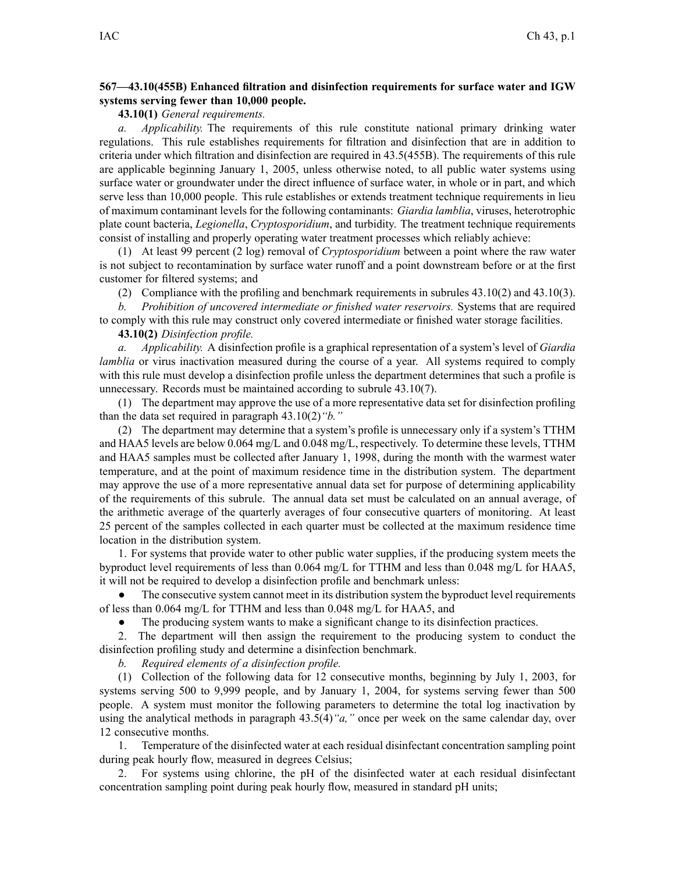## **567—43.10(455B) Enhanced filtration and disinfection requirements for surface water and IGW systems serving fewer than 10,000 people.**

**43.10(1)** *General requirements.*

*a. Applicability.* The requirements of this rule constitute national primary drinking water regulations. This rule establishes requirements for filtration and disinfection that are in addition to criteria under which filtration and disinfection are required in 43.5(455B). The requirements of this rule are applicable beginning January 1, 2005, unless otherwise noted, to all public water systems using surface water or groundwater under the direct influence of surface water, in whole or in part, and which serve less than 10,000 people. This rule establishes or extends treatment technique requirements in lieu of maximum contaminant levels for the following contaminants: *Giardia lamblia*, viruses, heterotrophic plate count bacteria, *Legionella*, *Cryptosporidium*, and turbidity. The treatment technique requirements consist of installing and properly operating water treatment processes which reliably achieve:

(1) At least 99 percen<sup>t</sup> (2 log) removal of *Cryptosporidium* between <sup>a</sup> point where the raw water is not subject to recontamination by surface water runoff and <sup>a</sup> point downstream before or at the first customer for filtered systems; and

(2) Compliance with the profiling and benchmark requirements in subrules 43.10(2) and 43.10(3).

*b. Prohibition of uncovered intermediate or finished water reservoirs.* Systems that are required to comply with this rule may construct only covered intermediate or finished water storage facilities.

**43.10(2)** *Disinfection profile.*

*a. Applicability.* A disinfection profile is <sup>a</sup> graphical representation of <sup>a</sup> system's level of *Giardia lamblia* or virus inactivation measured during the course of a year. All systems required to comply with this rule must develop <sup>a</sup> disinfection profile unless the department determines that such <sup>a</sup> profile is unnecessary. Records must be maintained according to subrule 43.10(7).

(1) The department may approve the use of <sup>a</sup> more representative data set for disinfection profiling than the data set required in paragraph 43.10(2)*"b."*

(2) The department may determine that <sup>a</sup> system's profile is unnecessary only if <sup>a</sup> system's TTHM and HAA5 levels are below 0.064 mg/L and 0.048 mg/L, respectively. To determine these levels, TTHM and HAA5 samples must be collected after January 1, 1998, during the month with the warmest water temperature, and at the point of maximum residence time in the distribution system. The department may approve the use of <sup>a</sup> more representative annual data set for purpose of determining applicability of the requirements of this subrule. The annual data set must be calculated on an annual average, of the arithmetic average of the quarterly averages of four consecutive quarters of monitoring. At least 25 percen<sup>t</sup> of the samples collected in each quarter must be collected at the maximum residence time location in the distribution system.

1. For systems that provide water to other public water supplies, if the producing system meets the byproduct level requirements of less than 0.064 mg/L for TTHM and less than 0.048 mg/L for HAA5, it will not be required to develop <sup>a</sup> disinfection profile and benchmark unless:

● The consecutive system cannot meet in its distribution system the byproduct level requirements of less than 0.064 mg/L for TTHM and less than 0.048 mg/L for HAA5, and

●The producing system wants to make <sup>a</sup> significant change to its disinfection practices.

2. The department will then assign the requirement to the producing system to conduct the disinfection profiling study and determine <sup>a</sup> disinfection benchmark.

*b. Required elements of <sup>a</sup> disinfection profile.*

(1) Collection of the following data for 12 consecutive months, beginning by July 1, 2003, for systems serving 500 to 9,999 people, and by January 1, 2004, for systems serving fewer than 500 people. A system must monitor the following parameters to determine the total log inactivation by using the analytical methods in paragraph 43.5(4)*"a,"* once per week on the same calendar day, over 12 consecutive months.

1. Temperature of the disinfected water at each residual disinfectant concentration sampling point during peak hourly flow, measured in degrees Celsius;

2. For systems using chlorine, the pH of the disinfected water at each residual disinfectant concentration sampling point during peak hourly flow, measured in standard pH units;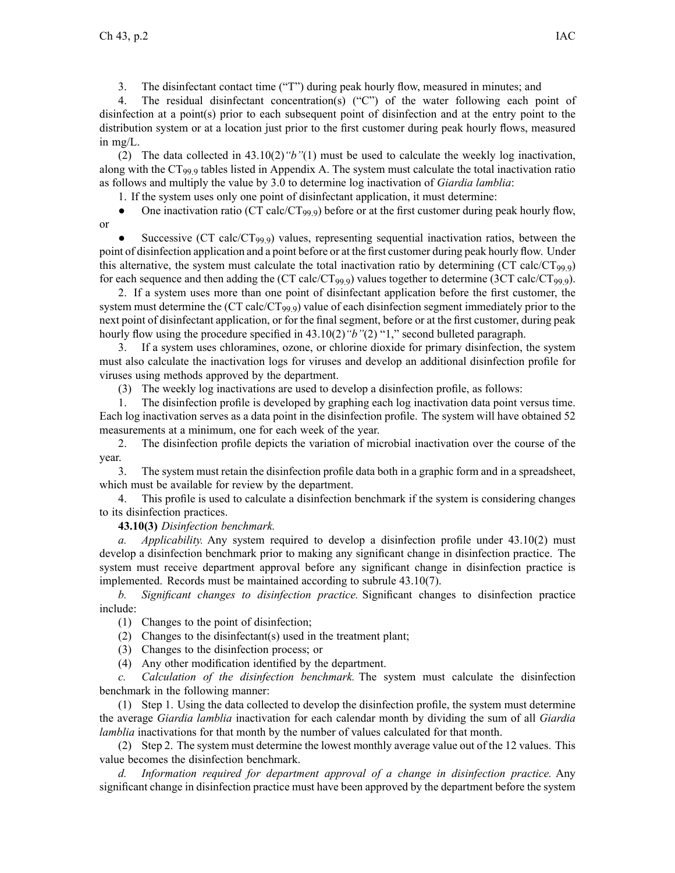3. The disinfectant contact time ("T") during peak hourly flow, measured in minutes; and

4. The residual disinfectant concentration(s) ("C") of the water following each point of disinfection at <sup>a</sup> point(s) prior to each subsequent point of disinfection and at the entry point to the distribution system or at <sup>a</sup> location just prior to the first customer during peak hourly flows, measured in mg/L.

(2) The data collected in 43.10(2)*"b"*(1) must be used to calculate the weekly log inactivation, along with the CT99.9 tables listed in Appendix A. The system must calculate the total inactivation ratio as follows and multiply the value by 3.0 to determine log inactivation of *Giardia lamblia*:

1. If the system uses only one point of disinfectant application, it must determine:

●One inactivation ratio (CT calc/CT<sub>99.9</sub>) before or at the first customer during peak hourly flow,

or

●Successive (CT calc/CT<sub>99.9</sub>) values, representing sequential inactivation ratios, between the point of disinfection application and <sup>a</sup> point before or at the first customer during peak hourly flow. Under this alternative, the system must calculate the total inactivation ratio by determining (CT calc/CT $_{99.9}$ ) for each sequence and then adding the (CT calc/CT<sub>99.9</sub>) values together to determine (3CT calc/CT<sub>99.9</sub>).

2. If <sup>a</sup> system uses more than one point of disinfectant application before the first customer, the system must determine the (CT calc/CT<sub>99.9</sub>) value of each disinfection segment immediately prior to the next point of disinfectant application, or for the final segment, before or at the first customer, during peak hourly flow using the procedure specified in 43.10(2)*"b"*(2) "1," second bulleted paragraph.

3. If <sup>a</sup> system uses chloramines, ozone, or chlorine dioxide for primary disinfection, the system must also calculate the inactivation logs for viruses and develop an additional disinfection profile for viruses using methods approved by the department.

(3) The weekly log inactivations are used to develop <sup>a</sup> disinfection profile, as follows:

1. The disinfection profile is developed by graphing each log inactivation data point versus time. Each log inactivation serves as <sup>a</sup> data point in the disinfection profile. The system will have obtained 52 measurements at <sup>a</sup> minimum, one for each week of the year.

2. The disinfection profile depicts the variation of microbial inactivation over the course of the year.

3. The system must retain the disinfection profile data both in <sup>a</sup> graphic form and in <sup>a</sup> spreadsheet, which must be available for review by the department.

4. This profile is used to calculate <sup>a</sup> disinfection benchmark if the system is considering changes to its disinfection practices.

**43.10(3)** *Disinfection benchmark.*

*a. Applicability.* Any system required to develop <sup>a</sup> disinfection profile under 43.10(2) must develop <sup>a</sup> disinfection benchmark prior to making any significant change in disinfection practice. The system must receive department approval before any significant change in disinfection practice is implemented. Records must be maintained according to subrule 43.10(7).

*b. Significant changes to disinfection practice.* Significant changes to disinfection practice include:

(1) Changes to the point of disinfection;

(2) Changes to the disinfectant(s) used in the treatment plant;

(3) Changes to the disinfection process; or

(4) Any other modification identified by the department.

*c. Calculation of the disinfection benchmark.* The system must calculate the disinfection benchmark in the following manner:

(1) Step 1. Using the data collected to develop the disinfection profile, the system must determine the average *Giardia lamblia* inactivation for each calendar month by dividing the sum of all *Giardia lamblia* inactivations for that month by the number of values calculated for that month.

(2) Step 2. The system must determine the lowest monthly average value out of the 12 values. This value becomes the disinfection benchmark.

*d. Information required for department approval of <sup>a</sup> change in disinfection practice.* Any significant change in disinfection practice must have been approved by the department before the system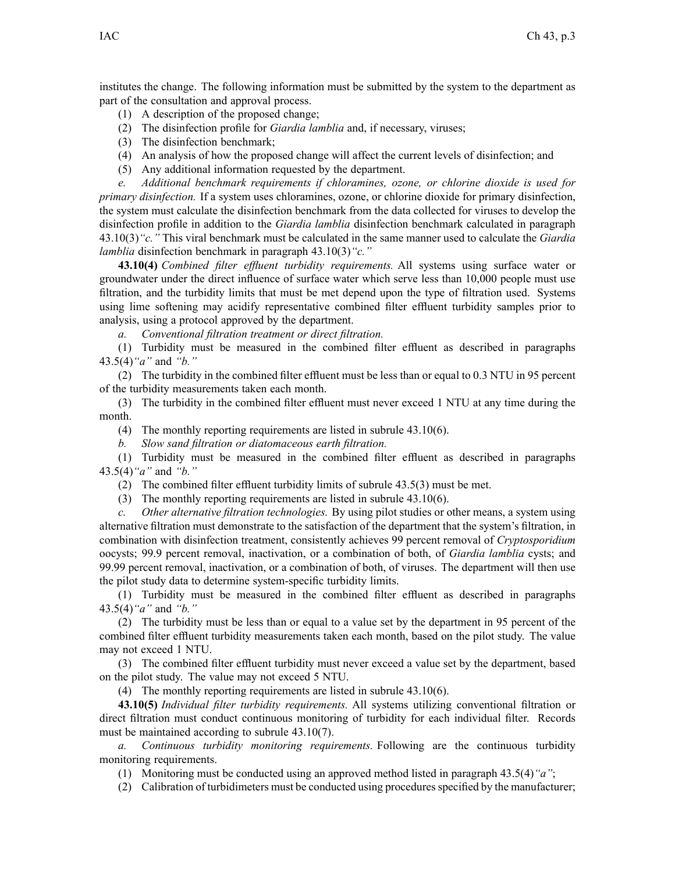institutes the change. The following information must be submitted by the system to the department as par<sup>t</sup> of the consultation and approval process.

- (1) A description of the proposed change;
- (2) The disinfection profile for *Giardia lamblia* and, if necessary, viruses;
- (3) The disinfection benchmark;
- (4) An analysis of how the proposed change will affect the current levels of disinfection; and
- (5) Any additional information requested by the department.

*e. Additional benchmark requirements if chloramines, ozone, or chlorine dioxide is used for primary disinfection.* If <sup>a</sup> system uses chloramines, ozone, or chlorine dioxide for primary disinfection, the system must calculate the disinfection benchmark from the data collected for viruses to develop the disinfection profile in addition to the *Giardia lamblia* disinfection benchmark calculated in paragraph 43.10(3)*"c."* This viral benchmark must be calculated in the same manner used to calculate the *Giardia lamblia* disinfection benchmark in paragraph 43.10(3)*"c."*

**43.10(4)** *Combined filter effluent turbidity requirements.* All systems using surface water or groundwater under the direct influence of surface water which serve less than 10,000 people must use filtration, and the turbidity limits that must be met depend upon the type of filtration used. Systems using lime softening may acidify representative combined filter effluent turbidity samples prior to analysis, using <sup>a</sup> protocol approved by the department.

*a. Conventional filtration treatment or direct filtration.*

(1) Turbidity must be measured in the combined filter effluent as described in paragraphs 43.5(4)*"a"* and *"b."*

(2) The turbidity in the combined filter effluent must be less than or equal to 0.3 NTU in 95 percen<sup>t</sup> of the turbidity measurements taken each month.

(3) The turbidity in the combined filter effluent must never exceed 1 NTU at any time during the month.

(4) The monthly reporting requirements are listed in subrule 43.10(6).

*b. Slow sand filtration or diatomaceous earth filtration.*

(1) Turbidity must be measured in the combined filter effluent as described in paragraphs 43.5(4)*"a"* and *"b."*

(2) The combined filter effluent turbidity limits of subrule 43.5(3) must be met.

(3) The monthly reporting requirements are listed in subrule 43.10(6).

*c. Other alternative filtration technologies.* By using pilot studies or other means, <sup>a</sup> system using alternative filtration must demonstrate to the satisfaction of the department that the system's filtration, in combination with disinfection treatment, consistently achieves 99 percen<sup>t</sup> removal of *Cryptosporidium* oocysts; 99.9 percen<sup>t</sup> removal, inactivation, or <sup>a</sup> combination of both, of *Giardia lamblia* cysts; and 99.99 percen<sup>t</sup> removal, inactivation, or <sup>a</sup> combination of both, of viruses. The department will then use the pilot study data to determine system-specific turbidity limits.

(1) Turbidity must be measured in the combined filter effluent as described in paragraphs 43.5(4)*"a"* and *"b."*

(2) The turbidity must be less than or equal to <sup>a</sup> value set by the department in 95 percen<sup>t</sup> of the combined filter effluent turbidity measurements taken each month, based on the pilot study. The value may not exceed 1 NTU.

(3) The combined filter effluent turbidity must never exceed <sup>a</sup> value set by the department, based on the pilot study. The value may not exceed 5 NTU.

(4) The monthly reporting requirements are listed in subrule 43.10(6).

**43.10(5)** *Individual filter turbidity requirements.* All systems utilizing conventional filtration or direct filtration must conduct continuous monitoring of turbidity for each individual filter. Records must be maintained according to subrule 43.10(7).

*a. Continuous turbidity monitoring requirements.* Following are the continuous turbidity monitoring requirements.

(1) Monitoring must be conducted using an approved method listed in paragraph 43.5(4)*"a"*;

(2) Calibration of turbidimeters must be conducted using proceduresspecified by the manufacturer;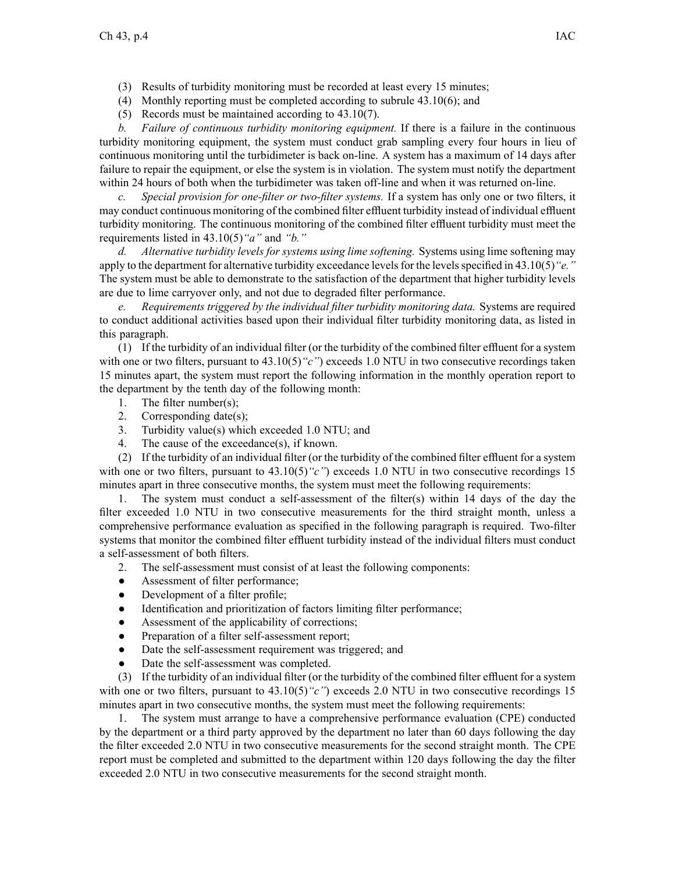- (3) Results of turbidity monitoring must be recorded at least every 15 minutes;
- (4) Monthly reporting must be completed according to subrule 43.10(6); and
- (5) Records must be maintained according to 43.10(7).

*b. Failure of continuous turbidity monitoring equipment.* If there is <sup>a</sup> failure in the continuous turbidity monitoring equipment, the system must conduct grab sampling every four hours in lieu of continuous monitoring until the turbidimeter is back on-line. A system has <sup>a</sup> maximum of 14 days after failure to repair the equipment, or else the system is in violation. The system must notify the department within 24 hours of both when the turbidimeter was taken off-line and when it was returned on-line.

*c. Special provision for one-filter or two-filter systems.* If <sup>a</sup> system has only one or two filters, it may conduct continuous monitoring of the combined filter effluent turbidity instead of individual effluent turbidity monitoring. The continuous monitoring of the combined filter effluent turbidity must meet the requirements listed in 43.10(5)*"a"* and *"b."*

*d. Alternative turbidity levels for systems using lime softening.* Systems using lime softening may apply to the department for alternative turbidity exceedance levels for the levels specified in 43.10(5) "*e.*" The system must be able to demonstrate to the satisfaction of the department that higher turbidity levels are due to lime carryover only, and not due to degraded filter performance.

*e. Requirements triggered by the individual filter turbidity monitoring data.* Systems are required to conduct additional activities based upon their individual filter turbidity monitoring data, as listed in this paragraph.

(1) If the turbidity of an individual filter (or the turbidity of the combined filter effluent for <sup>a</sup> system with one or two filters, pursuant to 43.10(5)<sup>"</sup>c") exceeds 1.0 NTU in two consecutive recordings taken 15 minutes apart, the system must repor<sup>t</sup> the following information in the monthly operation repor<sup>t</sup> to the department by the tenth day of the following month:

- 1. The filter number(s);
- 2. Corresponding date(s);
- 3. Turbidity value(s) which exceeded 1.0 NTU; and
- 4. The cause of the exceedance(s), if known.

(2) If the turbidity of an individual filter (or the turbidity of the combined filter effluent for <sup>a</sup> system with one or two filters, pursuant to  $43.10(5)$  "c") exceeds 1.0 NTU in two consecutive recordings 15 minutes apar<sup>t</sup> in three consecutive months, the system must meet the following requirements:

1. The system must conduct <sup>a</sup> self-assessment of the filter(s) within 14 days of the day the filter exceeded 1.0 NTU in two consecutive measurements for the third straight month, unless <sup>a</sup> comprehensive performance evaluation as specified in the following paragraph is required. Two-filter systems that monitor the combined filter effluent turbidity instead of the individual filters must conduct <sup>a</sup> self-assessment of both filters.

- 2. The self-assessment must consist of at least the following components:
- $\bullet$ Assessment of filter performance;
- $\bullet$ Development of <sup>a</sup> filter profile;
- $\bullet$ Identification and prioritization of factors limiting filter performance;
- $\bullet$ Assessment of the applicability of corrections;
- $\bullet$ Preparation of <sup>a</sup> filter self-assessment report;
- $\bullet$ Date the self-assessment requirement was triggered; and
- ●Date the self-assessment was completed.

(3) If the turbidity of an individual filter (or the turbidity of the combined filter effluent for <sup>a</sup> system with one or two filters, pursuant to  $43.10(5)$  "c") exceeds 2.0 NTU in two consecutive recordings 15 minutes apar<sup>t</sup> in two consecutive months, the system must meet the following requirements:

1. The system must arrange to have <sup>a</sup> comprehensive performance evaluation (CPE) conducted by the department or <sup>a</sup> third party approved by the department no later than 60 days following the day the filter exceeded 2.0 NTU in two consecutive measurements for the second straight month. The CPE repor<sup>t</sup> must be completed and submitted to the department within 120 days following the day the filter exceeded 2.0 NTU in two consecutive measurements for the second straight month.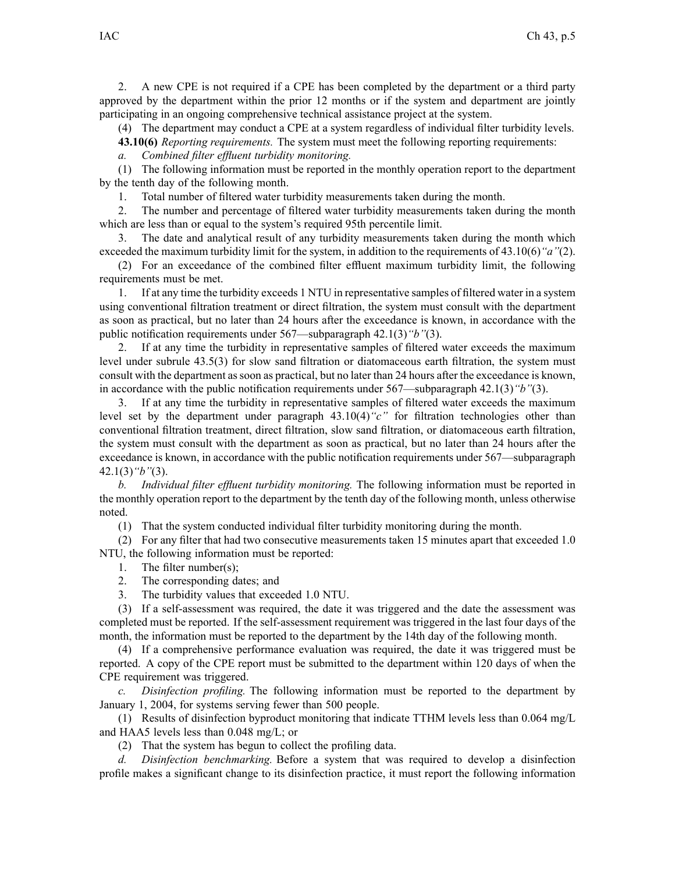2. A new CPE is not required if <sup>a</sup> CPE has been completed by the department or <sup>a</sup> third party approved by the department within the prior 12 months or if the system and department are jointly participating in an ongoing comprehensive technical assistance project at the system.

(4) The department may conduct <sup>a</sup> CPE at <sup>a</sup> system regardless of individual filter turbidity levels.

**43.10(6)** *Reporting requirements.* The system must meet the following reporting requirements:

*a. Combined filter effluent turbidity monitoring.*

(1) The following information must be reported in the monthly operation repor<sup>t</sup> to the department by the tenth day of the following month.

1. Total number of filtered water turbidity measurements taken during the month.

2. The number and percentage of filtered water turbidity measurements taken during the month which are less than or equal to the system's required 95th percentile limit.

3. The date and analytical result of any turbidity measurements taken during the month which exceeded the maximum turbidity limit for the system, in addition to the requirements of 43.10(6)*"a"*(2).

(2) For an exceedance of the combined filter effluent maximum turbidity limit, the following requirements must be met.

1. If at any time the turbidity exceeds 1 NTU in representative samples of filtered water in <sup>a</sup> system using conventional filtration treatment or direct filtration, the system must consult with the department as soon as practical, but no later than 24 hours after the exceedance is known, in accordance with the public notification requirements under 567—subparagraph 42.1(3)*"b"*(3).

2. If at any time the turbidity in representative samples of filtered water exceeds the maximum level under subrule 43.5(3) for slow sand filtration or diatomaceous earth filtration, the system must consult with the department assoon as practical, but no later than 24 hours after the exceedance is known, in accordance with the public notification requirements under 567—subparagraph 42.1(3)*"b"*(3).

3. If at any time the turbidity in representative samples of filtered water exceeds the maximum level set by the department under paragraph 43.10(4)*"c"* for filtration technologies other than conventional filtration treatment, direct filtration, slow sand filtration, or diatomaceous earth filtration, the system must consult with the department as soon as practical, but no later than 24 hours after the exceedance is known, in accordance with the public notification requirements under 567—subparagraph 42.1(3)*"b"*(3).

*b. Individual filter effluent turbidity monitoring.* The following information must be reported in the monthly operation repor<sup>t</sup> to the department by the tenth day of the following month, unless otherwise noted.

(1) That the system conducted individual filter turbidity monitoring during the month.

(2) For any filter that had two consecutive measurements taken 15 minutes apar<sup>t</sup> that exceeded 1.0 NTU, the following information must be reported:

- 1. The filter number(s);
- 2. The corresponding dates; and
- 3. The turbidity values that exceeded 1.0 NTU.

(3) If <sup>a</sup> self-assessment was required, the date it was triggered and the date the assessment was completed must be reported. If the self-assessment requirement was triggered in the last four days of the month, the information must be reported to the department by the 14th day of the following month.

(4) If <sup>a</sup> comprehensive performance evaluation was required, the date it was triggered must be reported. A copy of the CPE repor<sup>t</sup> must be submitted to the department within 120 days of when the CPE requirement was triggered.

*c. Disinfection profiling.* The following information must be reported to the department by January 1, 2004, for systems serving fewer than 500 people.

(1) Results of disinfection byproduct monitoring that indicate TTHM levels less than 0.064 mg/L and HAA5 levels less than 0.048 mg/L; or

(2) That the system has begun to collect the profiling data.

*d. Disinfection benchmarking.* Before <sup>a</sup> system that was required to develop <sup>a</sup> disinfection profile makes <sup>a</sup> significant change to its disinfection practice, it must repor<sup>t</sup> the following information